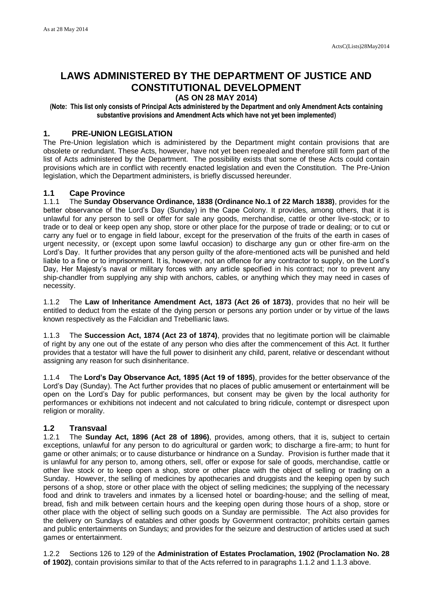# **LAWS ADMINISTERED BY THE DEPARTMENT OF JUSTICE AND CONSTITUTIONAL DEVELOPMENT (AS ON 28 MAY 2014)**

**(Note: This list only consists of Principal Acts administered by the Department and only Amendment Acts containing substantive provisions and Amendment Acts which have not yet been implemented)** 

## **1. PRE-UNION LEGISLATION**

The Pre-Union legislation which is administered by the Department might contain provisions that are obsolete or redundant. These Acts, however, have not yet been repealed and therefore still form part of the list of Acts administered by the Department. The possibility exists that some of these Acts could contain provisions which are in conflict with recently enacted legislation and even the Constitution. The Pre-Union legislation, which the Department administers, is briefly discussed hereunder.

## **1.1 Cape Province**

1.1.1 The **Sunday Observance Ordinance, 1838 (Ordinance No.1 of 22 March 1838)**, provides for the better observance of the Lord's Day (Sunday) in the Cape Colony. It provides, among others, that it is unlawful for any person to sell or offer for sale any goods, merchandise, cattle or other live-stock; or to trade or to deal or keep open any shop, store or other place for the purpose of trade or dealing; or to cut or carry any fuel or to engage in field labour, except for the preservation of the fruits of the earth in cases of urgent necessity, or (except upon some lawful occasion) to discharge any gun or other fire-arm on the Lord's Day. It further provides that any person guilty of the afore-mentioned acts will be punished and held liable to a fine or to imprisonment. It is, however, not an offence for any contractor to supply, on the Lord's Day, Her Majesty's naval or military forces with any article specified in his contract; nor to prevent any ship-chandler from supplying any ship with anchors, cables, or anything which they may need in cases of necessity.

1.1.2 The **Law of Inheritance Amendment Act, 1873 (Act 26 of 1873)**, provides that no heir will be entitled to deduct from the estate of the dying person or persons any portion under or by virtue of the laws known respectively as the Falcidian and Trebellianic laws.

1.1.3 The **Succession Act, 1874 (Act 23 of 1874)**, provides that no legitimate portion will be claimable of right by any one out of the estate of any person who dies after the commencement of this Act. It further provides that a testator will have the full power to disinherit any child, parent, relative or descendant without assigning any reason for such disinheritance.

1.1.4 The **Lord's Day Observance Act, 1895 (Act 19 of 1895)**, provides for the better observance of the Lord's Day (Sunday). The Act further provides that no places of public amusement or entertainment will be open on the Lord's Day for public performances, but consent may be given by the local authority for performances or exhibitions not indecent and not calculated to bring ridicule, contempt or disrespect upon religion or morality.

# **1.2 Transvaal**

1.2.1 The **Sunday Act, 1896 (Act 28 of 1896)**, provides, among others, that it is, subject to certain exceptions, unlawful for any person to do agricultural or garden work; to discharge a fire-arm; to hunt for game or other animals; or to cause disturbance or hindrance on a Sunday. Provision is further made that it is unlawful for any person to, among others, sell, offer or expose for sale of goods, merchandise, cattle or other live stock or to keep open a shop, store or other place with the object of selling or trading on a Sunday. However, the selling of medicines by apothecaries and druggists and the keeping open by such persons of a shop, store or other place with the object of selling medicines; the supplying of the necessary food and drink to travelers and inmates by a licensed hotel or boarding-house; and the selling of meat, bread, fish and milk between certain hours and the keeping open during those hours of a shop, store or other place with the object of selling such goods on a Sunday are permissible. The Act also provides for the delivery on Sundays of eatables and other goods by Government contractor; prohibits certain games and public entertainments on Sundays; and provides for the seizure and destruction of articles used at such games or entertainment.

1.2.2 Sections 126 to 129 of the **Administration of Estates Proclamation, 1902 (Proclamation No. 28 of 1902)**, contain provisions similar to that of the Acts referred to in paragraphs 1.1.2 and 1.1.3 above.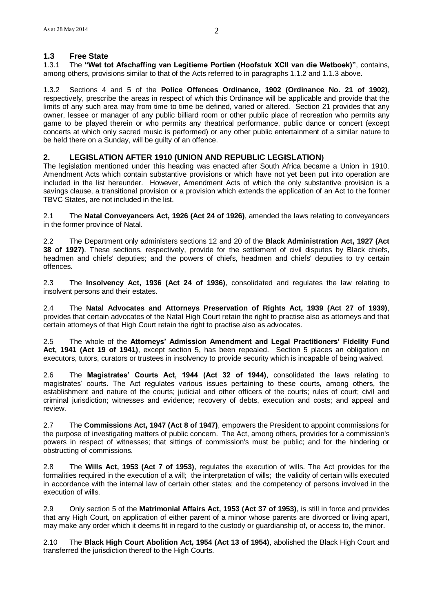### **1.3 Free State**

1.3.1 The **"Wet tot Afschaffing van Legitieme Portien (Hoofstuk XCII van die Wetboek)"**, contains, among others, provisions similar to that of the Acts referred to in paragraphs 1.1.2 and 1.1.3 above.

1.3.2 Sections 4 and 5 of the **Police Offences Ordinance, 1902 (Ordinance No. 21 of 1902)**, respectively, prescribe the areas in respect of which this Ordinance will be applicable and provide that the limits of any such area may from time to time be defined, varied or altered. Section 21 provides that any owner, lessee or manager of any public billiard room or other public place of recreation who permits any game to be played therein or who permits any theatrical performance, public dance or concert (except concerts at which only sacred music is performed) or any other public entertainment of a similar nature to be held there on a Sunday, will be guilty of an offence.

#### **2. LEGISLATION AFTER 1910 (UNION AND REPUBLIC LEGISLATION)**

The legislation mentioned under this heading was enacted after South Africa became a Union in 1910. Amendment Acts which contain substantive provisions or which have not yet been put into operation are included in the list hereunder. However, Amendment Acts of which the only substantive provision is a savings clause, a transitional provision or a provision which extends the application of an Act to the former TBVC States, are not included in the list.

2.1 The **Natal Conveyancers Act, 1926 (Act 24 of 1926)**, amended the laws relating to conveyancers in the former province of Natal.

2.2 The Department only administers sections 12 and 20 of the **Black Administration Act, 1927 (Act 38 of 1927)**. These sections, respectively, provide for the settlement of civil disputes by Black chiefs, headmen and chiefs' deputies; and the powers of chiefs, headmen and chiefs' deputies to try certain offences.

2.3 The **Insolvency Act, 1936 (Act 24 of 1936)**, consolidated and regulates the law relating to insolvent persons and their estates.

2.4 The **Natal Advocates and Attorneys Preservation of Rights Act, 1939 (Act 27 of 1939)**, provides that certain advocates of the Natal High Court retain the right to practise also as attorneys and that certain attorneys of that High Court retain the right to practise also as advocates.

2.5 The whole of the **Attorneys' Admission Amendment and Legal Practitioners' Fidelity Fund Act, 1941 (Act 19 of 1941)**, except section 5, has been repealed. Section 5 places an obligation on executors, tutors, curators or trustees in insolvency to provide security which is incapable of being waived.

2.6 The **Magistrates' Courts Act, 1944 (Act 32 of 1944)**, consolidated the laws relating to magistrates' courts. The Act regulates various issues pertaining to these courts, among others, the establishment and nature of the courts; judicial and other officers of the courts; rules of court; civil and criminal jurisdiction; witnesses and evidence; recovery of debts, execution and costs; and appeal and review.

2.7 The **Commissions Act, 1947 (Act 8 of 1947)**, empowers the President to appoint commissions for the purpose of investigating matters of public concern. The Act, among others, provides for a commission's powers in respect of witnesses; that sittings of commission's must be public; and for the hindering or obstructing of commissions.

2.8 The **Wills Act, 1953 (Act 7 of 1953)**, regulates the execution of wills. The Act provides for the formalities required in the execution of a will; the interpretation of wills; the validity of certain wills executed in accordance with the internal law of certain other states; and the competency of persons involved in the execution of wills.

2.9 Only section 5 of the **Matrimonial Affairs Act, 1953 (Act 37 of 1953)**, is still in force and provides that any High Court, on application of either parent of a minor whose parents are divorced or living apart, may make any order which it deems fit in regard to the custody or guardianship of, or access to, the minor.

2.10 The **Black High Court Abolition Act, 1954 (Act 13 of 1954)**, abolished the Black High Court and transferred the jurisdiction thereof to the High Courts.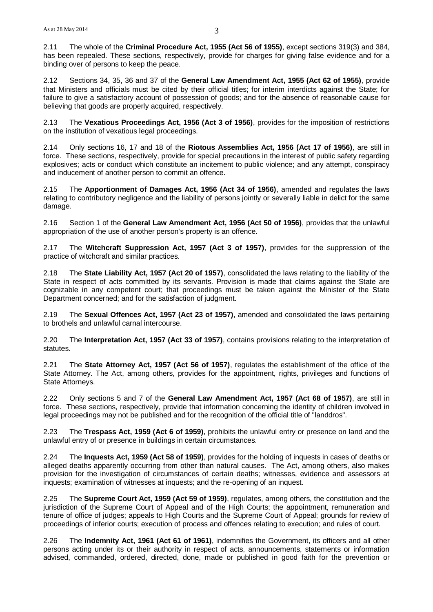2.11 The whole of the **Criminal Procedure Act, 1955 (Act 56 of 1955)**, except sections 319(3) and 384, has been repealed. These sections, respectively, provide for charges for giving false evidence and for a binding over of persons to keep the peace.

2.12 Sections 34, 35, 36 and 37 of the **General Law Amendment Act, 1955 (Act 62 of 1955)**, provide that Ministers and officials must be cited by their official titles; for interim interdicts against the State; for failure to give a satisfactory account of possession of goods; and for the absence of reasonable cause for believing that goods are properly acquired, respectively.

2.13 The **Vexatious Proceedings Act, 1956 (Act 3 of 1956)**, provides for the imposition of restrictions on the institution of vexatious legal proceedings.

2.14 Only sections 16, 17 and 18 of the **Riotous Assemblies Act, 1956 (Act 17 of 1956)**, are still in force. These sections, respectively, provide for special precautions in the interest of public safety regarding explosives; acts or conduct which constitute an incitement to public violence; and any attempt, conspiracy and inducement of another person to commit an offence.

2.15 The **Apportionment of Damages Act, 1956 (Act 34 of 1956)**, amended and regulates the laws relating to contributory negligence and the liability of persons jointly or severally liable in delict for the same damage.

2.16 Section 1 of the **General Law Amendment Act, 1956 (Act 50 of 1956)**, provides that the unlawful appropriation of the use of another person's property is an offence.

2.17 The **Witchcraft Suppression Act, 1957 (Act 3 of 1957)**, provides for the suppression of the practice of witchcraft and similar practices.

2.18 The **State Liability Act, 1957 (Act 20 of 1957)**, consolidated the laws relating to the liability of the State in respect of acts committed by its servants. Provision is made that claims against the State are cognizable in any competent court; that proceedings must be taken against the Minister of the State Department concerned; and for the satisfaction of judgment.

2.19 The **Sexual Offences Act, 1957 (Act 23 of 1957)**, amended and consolidated the laws pertaining to brothels and unlawful carnal intercourse.

2.20 The **Interpretation Act, 1957 (Act 33 of 1957)**, contains provisions relating to the interpretation of statutes.

2.21 The **State Attorney Act, 1957 (Act 56 of 1957)**, regulates the establishment of the office of the State Attorney. The Act, among others, provides for the appointment, rights, privileges and functions of State Attorneys.

2.22 Only sections 5 and 7 of the **General Law Amendment Act, 1957 (Act 68 of 1957)**, are still in force. These sections, respectively, provide that information concerning the identity of children involved in legal proceedings may not be published and for the recognition of the official title of "landdros".

2.23 The **Trespass Act, 1959 (Act 6 of 1959)**, prohibits the unlawful entry or presence on land and the unlawful entry of or presence in buildings in certain circumstances.

2.24 The **Inquests Act, 1959 (Act 58 of 1959)**, provides for the holding of inquests in cases of deaths or alleged deaths apparently occurring from other than natural causes. The Act, among others, also makes provision for the investigation of circumstances of certain deaths; witnesses, evidence and assessors at inquests; examination of witnesses at inquests; and the re-opening of an inquest.

2.25 The **Supreme Court Act, 1959 (Act 59 of 1959)**, regulates, among others, the constitution and the jurisdiction of the Supreme Court of Appeal and of the High Courts; the appointment, remuneration and tenure of office of judges; appeals to High Courts and the Supreme Court of Appeal; grounds for review of proceedings of inferior courts; execution of process and offences relating to execution; and rules of court.

2.26 The **Indemnity Act, 1961 (Act 61 of 1961)**, indemnifies the Government, its officers and all other persons acting under its or their authority in respect of acts, announcements, statements or information advised, commanded, ordered, directed, done, made or published in good faith for the prevention or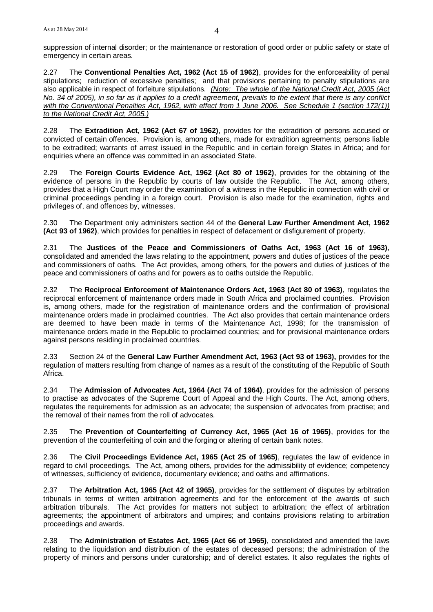suppression of internal disorder; or the maintenance or restoration of good order or public safety or state of emergency in certain areas.

2.27 The **Conventional Penalties Act, 1962 (Act 15 of 1962)**, provides for the enforceability of penal stipulations; reduction of excessive penalties; and that provisions pertaining to penalty stipulations are also applicable in respect of forfeiture stipulations. *(Note: The whole of the National Credit Act, 2005 (Act No. 34 of 2005), in so far as it applies to a credit agreement, prevails to the extent that there is any conflict with the Conventional Penalties Act, 1962, with effect from 1 June 2006. See Schedule 1 (section 172(1)) to the National Credit Act, 2005.)*

2.28 The **Extradition Act, 1962 (Act 67 of 1962)**, provides for the extradition of persons accused or convicted of certain offences. Provision is, among others, made for extradition agreements; persons liable to be extradited; warrants of arrest issued in the Republic and in certain foreign States in Africa; and for enquiries where an offence was committed in an associated State.

2.29 The **Foreign Courts Evidence Act, 1962 (Act 80 of 1962)**, provides for the obtaining of the evidence of persons in the Republic by courts of law outside the Republic. The Act, among others, provides that a High Court may order the examination of a witness in the Republic in connection with civil or criminal proceedings pending in a foreign court. Provision is also made for the examination, rights and privileges of, and offences by, witnesses.

2.30 The Department only administers section 44 of the **General Law Further Amendment Act, 1962 (Act 93 of 1962)**, which provides for penalties in respect of defacement or disfigurement of property.

2.31 The **Justices of the Peace and Commissioners of Oaths Act, 1963 (Act 16 of 1963)**, consolidated and amended the laws relating to the appointment, powers and duties of justices of the peace and commissioners of oaths. The Act provides, among others, for the powers and duties of justices of the peace and commissioners of oaths and for powers as to oaths outside the Republic.

2.32 The **Reciprocal Enforcement of Maintenance Orders Act, 1963 (Act 80 of 1963)**, regulates the reciprocal enforcement of maintenance orders made in South Africa and proclaimed countries. Provision is, among others, made for the registration of maintenance orders and the confirmation of provisional maintenance orders made in proclaimed countries. The Act also provides that certain maintenance orders are deemed to have been made in terms of the Maintenance Act, 1998; for the transmission of maintenance orders made in the Republic to proclaimed countries; and for provisional maintenance orders against persons residing in proclaimed countries.

2.33 Section 24 of the **General Law Further Amendment Act, 1963 (Act 93 of 1963),** provides for the regulation of matters resulting from change of names as a result of the constituting of the Republic of South Africa.

2.34 The **Admission of Advocates Act, 1964 (Act 74 of 1964)**, provides for the admission of persons to practise as advocates of the Supreme Court of Appeal and the High Courts. The Act, among others, regulates the requirements for admission as an advocate; the suspension of advocates from practise; and the removal of their names from the roll of advocates.

2.35 The **Prevention of Counterfeiting of Currency Act, 1965 (Act 16 of 1965)**, provides for the prevention of the counterfeiting of coin and the forging or altering of certain bank notes.

2.36 The **Civil Proceedings Evidence Act, 1965 (Act 25 of 1965)**, regulates the law of evidence in regard to civil proceedings. The Act, among others, provides for the admissibility of evidence; competency of witnesses, sufficiency of evidence, documentary evidence; and oaths and affirmations.

2.37 The **Arbitration Act, 1965 (Act 42 of 1965)**, provides for the settlement of disputes by arbitration tribunals in terms of written arbitration agreements and for the enforcement of the awards of such arbitration tribunals. The Act provides for matters not subject to arbitration; the effect of arbitration agreements; the appointment of arbitrators and umpires; and contains provisions relating to arbitration proceedings and awards.

2.38 The **Administration of Estates Act, 1965 (Act 66 of 1965)**, consolidated and amended the laws relating to the liquidation and distribution of the estates of deceased persons; the administration of the property of minors and persons under curatorship; and of derelict estates. It also regulates the rights of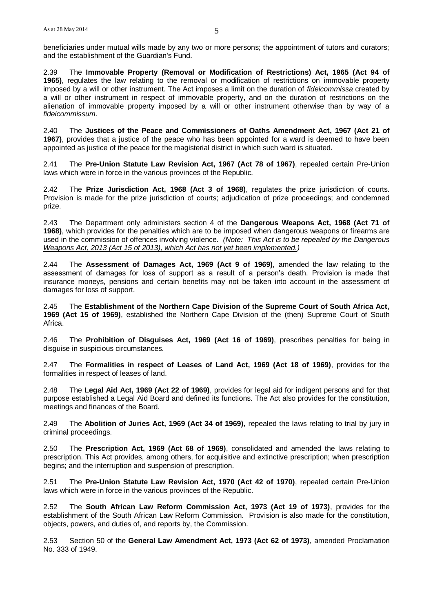beneficiaries under mutual wills made by any two or more persons; the appointment of tutors and curators; and the establishment of the Guardian's Fund.

2.39 The **Immovable Property (Removal or Modification of Restrictions) Act, 1965 (Act 94 of 1965)**, regulates the law relating to the removal or modification of restrictions on immovable property imposed by a will or other instrument. The Act imposes a limit on the duration of *fideicommissa* created by a will or other instrument in respect of immovable property, and on the duration of restrictions on the alienation of immovable property imposed by a will or other instrument otherwise than by way of a *fideicommissum*.

2.40 The **Justices of the Peace and Commissioners of Oaths Amendment Act, 1967 (Act 21 of 1967)**, provides that a justice of the peace who has been appointed for a ward is deemed to have been appointed as justice of the peace for the magisterial district in which such ward is situated.

2.41 The **Pre-Union Statute Law Revision Act, 1967 (Act 78 of 1967)**, repealed certain Pre-Union laws which were in force in the various provinces of the Republic.

2.42 The **Prize Jurisdiction Act, 1968 (Act 3 of 1968)**, regulates the prize jurisdiction of courts. Provision is made for the prize jurisdiction of courts; adjudication of prize proceedings; and condemned prize.

2.43 The Department only administers section 4 of the **Dangerous Weapons Act, 1968 (Act 71 of 1968)**, which provides for the penalties which are to be imposed when dangerous weapons or firearms are used in the commission of offences involving violence. *(Note: This Act is to be repealed by the Dangerous Weapons Act, 2013 (Act 15 of 2013), which Act has not yet been implemented.)*

2.44 The **Assessment of Damages Act, 1969 (Act 9 of 1969)**, amended the law relating to the assessment of damages for loss of support as a result of a person's death. Provision is made that insurance moneys, pensions and certain benefits may not be taken into account in the assessment of damages for loss of support.

2.45 The **Establishment of the Northern Cape Division of the Supreme Court of South Africa Act, 1969 (Act 15 of 1969)**, established the Northern Cape Division of the (then) Supreme Court of South Africa.

2.46 The **Prohibition of Disguises Act, 1969 (Act 16 of 1969)**, prescribes penalties for being in disguise in suspicious circumstances.

2.47 The **Formalities in respect of Leases of Land Act, 1969 (Act 18 of 1969)**, provides for the formalities in respect of leases of land.

2.48 The **Legal Aid Act, 1969 (Act 22 of 1969)**, provides for legal aid for indigent persons and for that purpose established a Legal Aid Board and defined its functions. The Act also provides for the constitution, meetings and finances of the Board.

2.49 The **Abolition of Juries Act, 1969 (Act 34 of 1969)**, repealed the laws relating to trial by jury in criminal proceedings.

2.50 The **Prescription Act, 1969 (Act 68 of 1969)**, consolidated and amended the laws relating to prescription. This Act provides, among others, for acquisitive and extinctive prescription; when prescription begins; and the interruption and suspension of prescription.

2.51 The **Pre-Union Statute Law Revision Act, 1970 (Act 42 of 1970)**, repealed certain Pre-Union laws which were in force in the various provinces of the Republic.

2.52 The **South African Law Reform Commission Act, 1973 (Act 19 of 1973)**, provides for the establishment of the South African Law Reform Commission. Provision is also made for the constitution, objects, powers, and duties of, and reports by, the Commission.

2.53 Section 50 of the **General Law Amendment Act, 1973 (Act 62 of 1973)**, amended Proclamation No. 333 of 1949.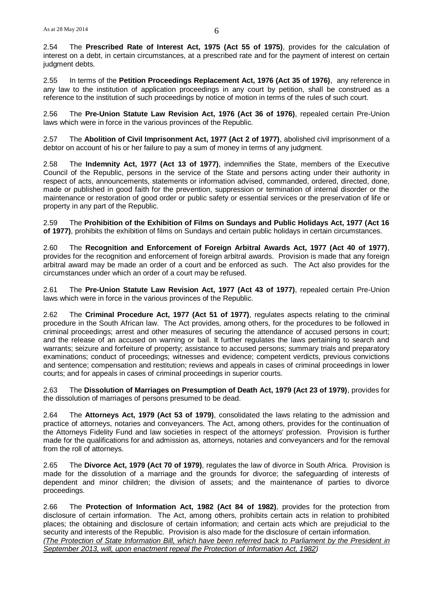2.54 The **Prescribed Rate of Interest Act, 1975 (Act 55 of 1975)**, provides for the calculation of interest on a debt, in certain circumstances, at a prescribed rate and for the payment of interest on certain judgment debts.

2.55 In terms of the **Petition Proceedings Replacement Act, 1976 (Act 35 of 1976)**, any reference in any law to the institution of application proceedings in any court by petition, shall be construed as a reference to the institution of such proceedings by notice of motion in terms of the rules of such court.

2.56 The **Pre-Union Statute Law Revision Act, 1976 (Act 36 of 1976)**, repealed certain Pre-Union laws which were in force in the various provinces of the Republic.

2.57 The **Abolition of Civil Imprisonment Act, 1977 (Act 2 of 1977)**, abolished civil imprisonment of a debtor on account of his or her failure to pay a sum of money in terms of any judgment.

2.58 The **Indemnity Act, 1977 (Act 13 of 1977)**, indemnifies the State, members of the Executive Council of the Republic, persons in the service of the State and persons acting under their authority in respect of acts, announcements, statements or information advised, commanded, ordered, directed, done, made or published in good faith for the prevention, suppression or termination of internal disorder or the maintenance or restoration of good order or public safety or essential services or the preservation of life or property in any part of the Republic.

2.59 The **Prohibition of the Exhibition of Films on Sundays and Public Holidays Act, 1977 (Act 16 of 1977)**, prohibits the exhibition of films on Sundays and certain public holidays in certain circumstances.

2.60 The **Recognition and Enforcement of Foreign Arbitral Awards Act, 1977 (Act 40 of 1977)**, provides for the recognition and enforcement of foreign arbitral awards. Provision is made that any foreign arbitral award may be made an order of a court and be enforced as such. The Act also provides for the circumstances under which an order of a court may be refused.

2.61 The **Pre-Union Statute Law Revision Act, 1977 (Act 43 of 1977)**, repealed certain Pre-Union laws which were in force in the various provinces of the Republic.

2.62 The **Criminal Procedure Act, 1977 (Act 51 of 1977)**, regulates aspects relating to the criminal procedure in the South African law. The Act provides, among others, for the procedures to be followed in criminal proceedings; arrest and other measures of securing the attendance of accused persons in court; and the release of an accused on warning or bail. It further regulates the laws pertaining to search and warrants; seizure and forfeiture of property; assistance to accused persons; summary trials and preparatory examinations; conduct of proceedings; witnesses and evidence; competent verdicts, previous convictions and sentence; compensation and restitution; reviews and appeals in cases of criminal proceedings in lower courts; and for appeals in cases of criminal proceedings in superior courts.

2.63 The **Dissolution of Marriages on Presumption of Death Act, 1979 (Act 23 of 1979)**, provides for the dissolution of marriages of persons presumed to be dead.

2.64 The **Attorneys Act, 1979 (Act 53 of 1979)**, consolidated the laws relating to the admission and practice of attorneys, notaries and conveyancers. The Act, among others, provides for the continuation of the Attorneys Fidelity Fund and law societies in respect of the attorneys' profession. Provision is further made for the qualifications for and admission as, attorneys, notaries and conveyancers and for the removal from the roll of attorneys.

2.65 The **Divorce Act, 1979 (Act 70 of 1979)**, regulates the law of divorce in South Africa. Provision is made for the dissolution of a marriage and the grounds for divorce; the safeguarding of interests of dependent and minor children; the division of assets; and the maintenance of parties to divorce proceedings.

2.66 The **Protection of Information Act, 1982 (Act 84 of 1982)**, provides for the protection from disclosure of certain information. The Act, among others, prohibits certain acts in relation to prohibited places; the obtaining and disclosure of certain information; and certain acts which are prejudicial to the security and interests of the Republic. Provision is also made for the disclosure of certain information. *(The Protection of State Information Bill, which have been referred back to Parliament by the President in September 2013, will, upon enactment repeal the Protection of Information Act, 1982)*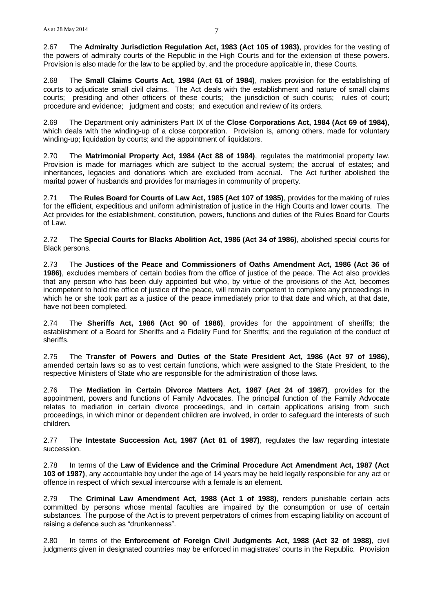2.67 The **Admiralty Jurisdiction Regulation Act, 1983 (Act 105 of 1983)**, provides for the vesting of the powers of admiralty courts of the Republic in the High Courts and for the extension of these powers. Provision is also made for the law to be applied by, and the procedure applicable in, these Courts.

2.68 The **Small Claims Courts Act, 1984 (Act 61 of 1984)**, makes provision for the establishing of courts to adjudicate small civil claims. The Act deals with the establishment and nature of small claims courts; presiding and other officers of these courts; the jurisdiction of such courts; rules of court; procedure and evidence; judgment and costs; and execution and review of its orders.

2.69 The Department only administers Part IX of the **Close Corporations Act, 1984 (Act 69 of 1984)**, which deals with the winding-up of a close corporation. Provision is, among others, made for voluntary winding-up; liquidation by courts; and the appointment of liquidators.

2.70 The **Matrimonial Property Act, 1984 (Act 88 of 1984)**, regulates the matrimonial property law. Provision is made for marriages which are subject to the accrual system; the accrual of estates; and inheritances, legacies and donations which are excluded from accrual. The Act further abolished the marital power of husbands and provides for marriages in community of property.

2.71 The **Rules Board for Courts of Law Act, 1985 (Act 107 of 1985)**, provides for the making of rules for the efficient, expeditious and uniform administration of justice in the High Courts and lower courts. The Act provides for the establishment, constitution, powers, functions and duties of the Rules Board for Courts of Law.

2.72 The **Special Courts for Blacks Abolition Act, 1986 (Act 34 of 1986)**, abolished special courts for Black persons.

2.73 The **Justices of the Peace and Commissioners of Oaths Amendment Act, 1986 (Act 36 of 1986)**, excludes members of certain bodies from the office of justice of the peace. The Act also provides that any person who has been duly appointed but who, by virtue of the provisions of the Act, becomes incompetent to hold the office of justice of the peace, will remain competent to complete any proceedings in which he or she took part as a justice of the peace immediately prior to that date and which, at that date, have not been completed.

2.74 The **Sheriffs Act, 1986 (Act 90 of 1986)**, provides for the appointment of sheriffs; the establishment of a Board for Sheriffs and a Fidelity Fund for Sheriffs; and the regulation of the conduct of sheriffs.

2.75 The **Transfer of Powers and Duties of the State President Act, 1986 (Act 97 of 1986)**, amended certain laws so as to vest certain functions, which were assigned to the State President, to the respective Ministers of State who are responsible for the administration of those laws.

2.76 The **Mediation in Certain Divorce Matters Act, 1987 (Act 24 of 1987)**, provides for the appointment, powers and functions of Family Advocates. The principal function of the Family Advocate relates to mediation in certain divorce proceedings, and in certain applications arising from such proceedings, in which minor or dependent children are involved, in order to safeguard the interests of such children.

2.77 The **Intestate Succession Act, 1987 (Act 81 of 1987)**, regulates the law regarding intestate succession.

2.78 In terms of the **Law of Evidence and the Criminal Procedure Act Amendment Act, 1987 (Act 103 of 1987)**, any accountable boy under the age of 14 years may be held legally responsible for any act or offence in respect of which sexual intercourse with a female is an element.

2.79 The **Criminal Law Amendment Act, 1988 (Act 1 of 1988)**, renders punishable certain acts committed by persons whose mental faculties are impaired by the consumption or use of certain substances. The purpose of the Act is to prevent perpetrators of crimes from escaping liability on account of raising a defence such as "drunkenness".

2.80 In terms of the **Enforcement of Foreign Civil Judgments Act, 1988 (Act 32 of 1988)**, civil judgments given in designated countries may be enforced in magistrates' courts in the Republic. Provision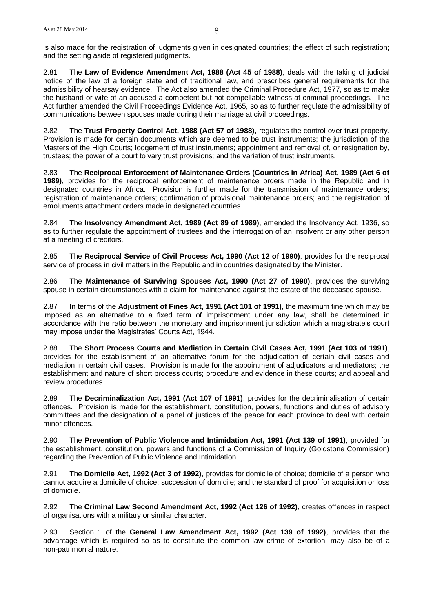is also made for the registration of judgments given in designated countries; the effect of such registration; and the setting aside of registered judgments.

2.81 The **Law of Evidence Amendment Act, 1988 (Act 45 of 1988)**, deals with the taking of judicial notice of the law of a foreign state and of traditional law, and prescribes general requirements for the admissibility of hearsay evidence. The Act also amended the Criminal Procedure Act, 1977, so as to make the husband or wife of an accused a competent but not compellable witness at criminal proceedings. The Act further amended the Civil Proceedings Evidence Act, 1965, so as to further regulate the admissibility of communications between spouses made during their marriage at civil proceedings.

2.82 The **Trust Property Control Act, 1988 (Act 57 of 1988)**, regulates the control over trust property. Provision is made for certain documents which are deemed to be trust instruments; the jurisdiction of the Masters of the High Courts; lodgement of trust instruments; appointment and removal of, or resignation by, trustees; the power of a court to vary trust provisions; and the variation of trust instruments.

2.83 The **Reciprocal Enforcement of Maintenance Orders (Countries in Africa) Act, 1989 (Act 6 of 1989)**, provides for the reciprocal enforcement of maintenance orders made in the Republic and in designated countries in Africa. Provision is further made for the transmission of maintenance orders; registration of maintenance orders; confirmation of provisional maintenance orders; and the registration of emoluments attachment orders made in designated countries.

2.84 The **Insolvency Amendment Act, 1989 (Act 89 of 1989)**, amended the Insolvency Act, 1936, so as to further regulate the appointment of trustees and the interrogation of an insolvent or any other person at a meeting of creditors.

2.85 The **Reciprocal Service of Civil Process Act, 1990 (Act 12 of 1990)**, provides for the reciprocal service of process in civil matters in the Republic and in countries designated by the Minister.

2.86 The **Maintenance of Surviving Spouses Act, 1990 (Act 27 of 1990)**, provides the surviving spouse in certain circumstances with a claim for maintenance against the estate of the deceased spouse.

2.87 In terms of the **Adjustment of Fines Act, 1991 (Act 101 of 1991)**, the maximum fine which may be imposed as an alternative to a fixed term of imprisonment under any law, shall be determined in accordance with the ratio between the monetary and imprisonment jurisdiction which a magistrate's court may impose under the Magistrates' Courts Act, 1944.

2.88 The **Short Process Courts and Mediation in Certain Civil Cases Act, 1991 (Act 103 of 1991)**, provides for the establishment of an alternative forum for the adjudication of certain civil cases and mediation in certain civil cases. Provision is made for the appointment of adjudicators and mediators; the establishment and nature of short process courts; procedure and evidence in these courts; and appeal and review procedures.

2.89 The **Decriminalization Act, 1991 (Act 107 of 1991)**, provides for the decriminalisation of certain offences. Provision is made for the establishment, constitution, powers, functions and duties of advisory committees and the designation of a panel of justices of the peace for each province to deal with certain minor offences.

2.90 The **Prevention of Public Violence and Intimidation Act, 1991 (Act 139 of 1991)**, provided for the establishment, constitution, powers and functions of a Commission of Inquiry (Goldstone Commission) regarding the Prevention of Public Violence and Intimidation.

2.91 The **Domicile Act, 1992 (Act 3 of 1992)**, provides for domicile of choice; domicile of a person who cannot acquire a domicile of choice; succession of domicile; and the standard of proof for acquisition or loss of domicile.

2.92 The **Criminal Law Second Amendment Act, 1992 (Act 126 of 1992)**, creates offences in respect of organisations with a military or similar character.

2.93 Section 1 of the **General Law Amendment Act, 1992 (Act 139 of 1992)**, provides that the advantage which is required so as to constitute the common law crime of extortion, may also be of a non-patrimonial nature.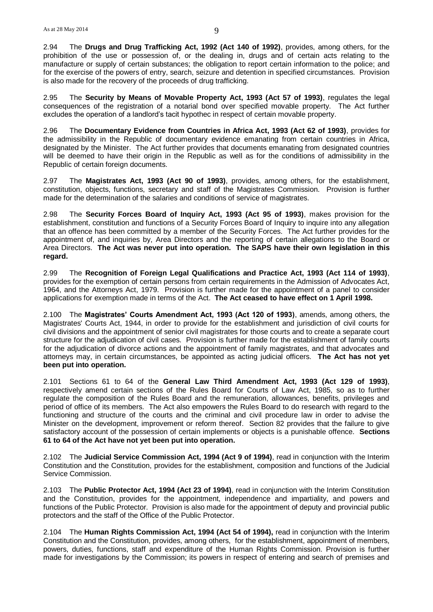2.94 The **Drugs and Drug Trafficking Act, 1992 (Act 140 of 1992)**, provides, among others, for the prohibition of the use or possession of, or the dealing in, drugs and of certain acts relating to the manufacture or supply of certain substances; the obligation to report certain information to the police; and for the exercise of the powers of entry, search, seizure and detention in specified circumstances. Provision is also made for the recovery of the proceeds of drug trafficking.

2.95 The **Security by Means of Movable Property Act, 1993 (Act 57 of 1993)**, regulates the legal consequences of the registration of a notarial bond over specified movable property. The Act further excludes the operation of a landlord's tacit hypothec in respect of certain movable property.

2.96 The **Documentary Evidence from Countries in Africa Act, 1993 (Act 62 of 1993)**, provides for the admissibility in the Republic of documentary evidence emanating from certain countries in Africa, designated by the Minister. The Act further provides that documents emanating from designated countries will be deemed to have their origin in the Republic as well as for the conditions of admissibility in the Republic of certain foreign documents.

2.97 The **Magistrates Act, 1993 (Act 90 of 1993)**, provides, among others, for the establishment, constitution, objects, functions, secretary and staff of the Magistrates Commission. Provision is further made for the determination of the salaries and conditions of service of magistrates.

2.98 The **Security Forces Board of Inquiry Act, 1993 (Act 95 of 1993)**, makes provision for the establishment, constitution and functions of a Security Forces Board of Inquiry to inquire into any allegation that an offence has been committed by a member of the Security Forces. The Act further provides for the appointment of, and inquiries by, Area Directors and the reporting of certain allegations to the Board or Area Directors. **The Act was never put into operation. The SAPS have their own legislation in this regard.** 

2.99 The **Recognition of Foreign Legal Qualifications and Practice Act, 1993 (Act 114 of 1993)**, provides for the exemption of certain persons from certain requirements in the Admission of Advocates Act, 1964, and the Attorneys Act, 1979. Provision is further made for the appointment of a panel to consider applications for exemption made in terms of the Act. **The Act ceased to have effect on 1 April 1998.**

2.100 The **Magistrates' Courts Amendment Act, 1993 (Act 120 of 1993)**, amends, among others, the Magistrates' Courts Act, 1944, in order to provide for the establishment and jurisdiction of civil courts for civil divisions and the appointment of senior civil magistrates for those courts and to create a separate court structure for the adjudication of civil cases. Provision is further made for the establishment of family courts for the adjudication of divorce actions and the appointment of family magistrates, and that advocates and attorneys may, in certain circumstances, be appointed as acting judicial officers. **The Act has not yet been put into operation.**

2.101 Sections 61 to 64 of the **General Law Third Amendment Act, 1993 (Act 129 of 1993)**, respectively amend certain sections of the Rules Board for Courts of Law Act, 1985, so as to further regulate the composition of the Rules Board and the remuneration, allowances, benefits, privileges and period of office of its members. The Act also empowers the Rules Board to do research with regard to the functioning and structure of the courts and the criminal and civil procedure law in order to advise the Minister on the development, improvement or reform thereof. Section 82 provides that the failure to give satisfactory account of the possession of certain implements or objects is a punishable offence. **Sections 61 to 64 of the Act have not yet been put into operation.**

2.102 The **Judicial Service Commission Act, 1994 (Act 9 of 1994)**, read in conjunction with the Interim Constitution and the Constitution, provides for the establishment, composition and functions of the Judicial Service Commission.

2.103 The **Public Protector Act, 1994 (Act 23 of 1994)**, read in conjunction with the Interim Constitution and the Constitution, provides for the appointment, independence and impartiality, and powers and functions of the Public Protector. Provision is also made for the appointment of deputy and provincial public protectors and the staff of the Office of the Public Protector.

2.104 The **Human Rights Commission Act, 1994 (Act 54 of 1994),** read in conjunction with the Interim Constitution and the Constitution, provides, among others, for the establishment, appointment of members, powers, duties, functions, staff and expenditure of the Human Rights Commission. Provision is further made for investigations by the Commission; its powers in respect of entering and search of premises and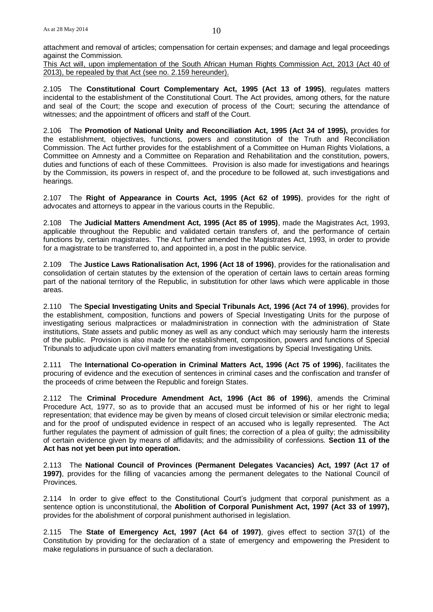attachment and removal of articles; compensation for certain expenses; and damage and legal proceedings against the Commission.

This Act will, upon implementation of the South African Human Rights Commission Act, 2013 (Act 40 of 2013), be repealed by that Act (see no. 2.159 hereunder).

2.105 The **Constitutional Court Complementary Act, 1995 (Act 13 of 1995)**, regulates matters incidental to the establishment of the Constitutional Court. The Act provides, among others, for the nature and seal of the Court; the scope and execution of process of the Court; securing the attendance of witnesses; and the appointment of officers and staff of the Court.

2.106 The **Promotion of National Unity and Reconciliation Act, 1995 (Act 34 of 1995),** provides for the establishment, objectives, functions, powers and constitution of the Truth and Reconciliation Commission. The Act further provides for the establishment of a Committee on Human Rights Violations, a Committee on Amnesty and a Committee on Reparation and Rehabilitation and the constitution, powers, duties and functions of each of these Committees. Provision is also made for investigations and hearings by the Commission, its powers in respect of, and the procedure to be followed at, such investigations and hearings.

2.107 The **Right of Appearance in Courts Act, 1995 (Act 62 of 1995)**, provides for the right of advocates and attorneys to appear in the various courts in the Republic.

2.108 The **Judicial Matters Amendment Act, 1995 (Act 85 of 1995)**, made the Magistrates Act, 1993, applicable throughout the Republic and validated certain transfers of, and the performance of certain functions by, certain magistrates. The Act further amended the Magistrates Act, 1993, in order to provide for a magistrate to be transferred to, and appointed in, a post in the public service.

2.109 The **Justice Laws Rationalisation Act, 1996 (Act 18 of 1996)**, provides for the rationalisation and consolidation of certain statutes by the extension of the operation of certain laws to certain areas forming part of the national territory of the Republic, in substitution for other laws which were applicable in those areas.

2.110 The **Special Investigating Units and Special Tribunals Act, 1996 (Act 74 of 1996)**, provides for the establishment, composition, functions and powers of Special Investigating Units for the purpose of investigating serious malpractices or maladministration in connection with the administration of State institutions, State assets and public money as well as any conduct which may seriously harm the interests of the public. Provision is also made for the establishment, composition, powers and functions of Special Tribunals to adjudicate upon civil matters emanating from investigations by Special Investigating Units.

2.111 The **International Co-operation in Criminal Matters Act, 1996 (Act 75 of 1996)**, facilitates the procuring of evidence and the execution of sentences in criminal cases and the confiscation and transfer of the proceeds of crime between the Republic and foreign States.

2.112 The **Criminal Procedure Amendment Act, 1996 (Act 86 of 1996)**, amends the Criminal Procedure Act, 1977, so as to provide that an accused must be informed of his or her right to legal representation; that evidence may be given by means of closed circuit television or similar electronic media; and for the proof of undisputed evidence in respect of an accused who is legally represented. The Act further regulates the payment of admission of guilt fines; the correction of a plea of guilty; the admissibility of certain evidence given by means of affidavits; and the admissibility of confessions. **Section 11 of the Act has not yet been put into operation.**

2.113 The **National Council of Provinces (Permanent Delegates Vacancies) Act, 1997 (Act 17 of 1997)**, provides for the filling of vacancies among the permanent delegates to the National Council of Provinces.

2.114 In order to give effect to the Constitutional Court's judgment that corporal punishment as a sentence option is unconstitutional, the **Abolition of Corporal Punishment Act, 1997 (Act 33 of 1997),** provides for the abolishment of corporal punishment authorised in legislation.

2.115 The **State of Emergency Act, 1997 (Act 64 of 1997)**, gives effect to section 37(1) of the Constitution by providing for the declaration of a state of emergency and empowering the President to make regulations in pursuance of such a declaration.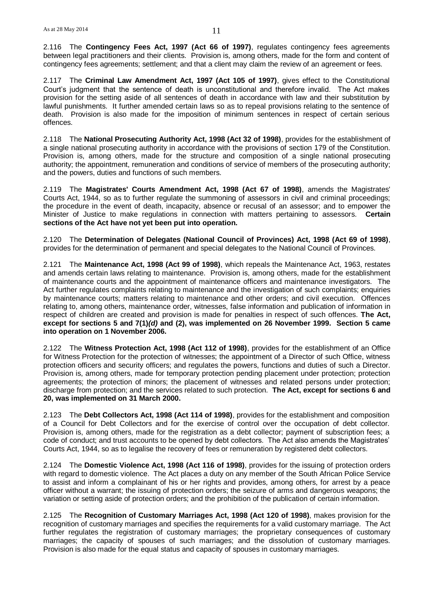2.116 The **Contingency Fees Act, 1997 (Act 66 of 1997)**, regulates contingency fees agreements between legal practitioners and their clients. Provision is, among others, made for the form and content of contingency fees agreements; settlement; and that a client may claim the review of an agreement or fees.

2.117 The **Criminal Law Amendment Act, 1997 (Act 105 of 1997)**, gives effect to the Constitutional Court's judgment that the sentence of death is unconstitutional and therefore invalid. The Act makes provision for the setting aside of all sentences of death in accordance with law and their substitution by lawful punishments. It further amended certain laws so as to repeal provisions relating to the sentence of death. Provision is also made for the imposition of minimum sentences in respect of certain serious offences.

2.118 The **National Prosecuting Authority Act, 1998 (Act 32 of 1998)**, provides for the establishment of a single national prosecuting authority in accordance with the provisions of section 179 of the Constitution. Provision is, among others, made for the structure and composition of a single national prosecuting authority; the appointment, remuneration and conditions of service of members of the prosecuting authority; and the powers, duties and functions of such members.

2.119 The **Magistrates' Courts Amendment Act, 1998 (Act 67 of 1998)**, amends the Magistrates' Courts Act, 1944, so as to further regulate the summoning of assessors in civil and criminal proceedings; the procedure in the event of death, incapacity, absence or recusal of an assessor; and to empower the Minister of Justice to make regulations in connection with matters pertaining to assessors. **Certain sections of the Act have not yet been put into operation.**

2.120 The **Determination of Delegates (National Council of Provinces) Act, 1998 (Act 69 of 1998)**, provides for the determination of permanent and special delegates to the National Council of Provinces.

2.121 The **Maintenance Act, 1998 (Act 99 of 1998)**, which repeals the Maintenance Act, 1963, restates and amends certain laws relating to maintenance. Provision is, among others, made for the establishment of maintenance courts and the appointment of maintenance officers and maintenance investigators. The Act further regulates complaints relating to maintenance and the investigation of such complaints; enquiries by maintenance courts; matters relating to maintenance and other orders; and civil execution. Offences relating to, among others, maintenance order, witnesses, false information and publication of information in respect of children are created and provision is made for penalties in respect of such offences. **The Act, except for sections 5 and 7(1)***(d)* **and (2), was implemented on 26 November 1999. Section 5 came into operation on 1 November 2006.**

2.122 The **Witness Protection Act, 1998 (Act 112 of 1998)**, provides for the establishment of an Office for Witness Protection for the protection of witnesses; the appointment of a Director of such Office, witness protection officers and security officers; and regulates the powers, functions and duties of such a Director. Provision is, among others, made for temporary protection pending placement under protection; protection agreements; the protection of minors; the placement of witnesses and related persons under protection; discharge from protection; and the services related to such protection. **The Act, except for sections 6 and 20, was implemented on 31 March 2000.**

2.123 The **Debt Collectors Act, 1998 (Act 114 of 1998)**, provides for the establishment and composition of a Council for Debt Collectors and for the exercise of control over the occupation of debt collector. Provision is, among others, made for the registration as a debt collector; payment of subscription fees; a code of conduct; and trust accounts to be opened by debt collectors. The Act also amends the Magistrates' Courts Act, 1944, so as to legalise the recovery of fees or remuneration by registered debt collectors.

2.124 The **Domestic Violence Act, 1998 (Act 116 of 1998)**, provides for the issuing of protection orders with regard to domestic violence. The Act places a duty on any member of the South African Police Service to assist and inform a complainant of his or her rights and provides, among others, for arrest by a peace officer without a warrant; the issuing of protection orders; the seizure of arms and dangerous weapons; the variation or setting aside of protection orders; and the prohibition of the publication of certain information.

2.125 The **Recognition of Customary Marriages Act, 1998 (Act 120 of 1998)**, makes provision for the recognition of customary marriages and specifies the requirements for a valid customary marriage. The Act further regulates the registration of customary marriages; the proprietary consequences of customary marriages; the capacity of spouses of such marriages; and the dissolution of customary marriages. Provision is also made for the equal status and capacity of spouses in customary marriages.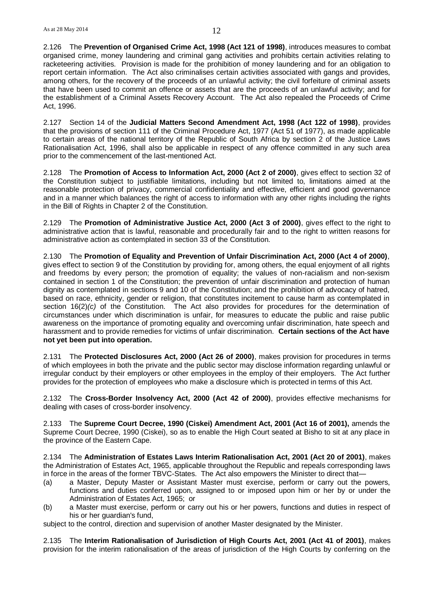2.126 The **Prevention of Organised Crime Act, 1998 (Act 121 of 1998)**, introduces measures to combat organised crime, money laundering and criminal gang activities and prohibits certain activities relating to racketeering activities. Provision is made for the prohibition of money laundering and for an obligation to report certain information. The Act also criminalises certain activities associated with gangs and provides, among others, for the recovery of the proceeds of an unlawful activity; the civil forfeiture of criminal assets that have been used to commit an offence or assets that are the proceeds of an unlawful activity; and for the establishment of a Criminal Assets Recovery Account. The Act also repealed the Proceeds of Crime Act, 1996.

2.127 Section 14 of the **Judicial Matters Second Amendment Act, 1998 (Act 122 of 1998)**, provides that the provisions of section 111 of the Criminal Procedure Act, 1977 (Act 51 of 1977), as made applicable to certain areas of the national territory of the Republic of South Africa by section 2 of the Justice Laws Rationalisation Act, 1996, shall also be applicable in respect of any offence committed in any such area prior to the commencement of the last-mentioned Act.

2.128 The **Promotion of Access to Information Act, 2000 (Act 2 of 2000)**, gives effect to section 32 of the Constitution subject to justifiable limitations, including but not limited to, limitations aimed at the reasonable protection of privacy, commercial confidentiality and effective, efficient and good governance and in a manner which balances the right of access to information with any other rights including the rights in the Bill of Rights in Chapter 2 of the Constitution.

2.129 The **Promotion of Administrative Justice Act, 2000 (Act 3 of 2000)**, gives effect to the right to administrative action that is lawful, reasonable and procedurally fair and to the right to written reasons for administrative action as contemplated in section 33 of the Constitution.

2.130 The **Promotion of Equality and Prevention of Unfair Discrimination Act, 2000 (Act 4 of 2000)**, gives effect to section 9 of the Constitution by providing for, among others, the equal enjoyment of all rights and freedoms by every person; the promotion of equality; the values of non-racialism and non-sexism contained in section 1 of the Constitution; the prevention of unfair discrimination and protection of human dignity as contemplated in sections 9 and 10 of the Constitution; and the prohibition of advocacy of hatred, based on race, ethnicity, gender or religion, that constitutes incitement to cause harm as contemplated in section 16(2)*(c)* of the Constitution. The Act also provides for procedures for the determination of circumstances under which discrimination is unfair, for measures to educate the public and raise public awareness on the importance of promoting equality and overcoming unfair discrimination, hate speech and harassment and to provide remedies for victims of unfair discrimination. **Certain sections of the Act have not yet been put into operation.**

2.131 The **Protected Disclosures Act, 2000 (Act 26 of 2000)**, makes provision for procedures in terms of which employees in both the private and the public sector may disclose information regarding unlawful or irregular conduct by their employers or other employees in the employ of their employers. The Act further provides for the protection of employees who make a disclosure which is protected in terms of this Act.

2.132 The **Cross-Border Insolvency Act, 2000 (Act 42 of 2000)**, provides effective mechanisms for dealing with cases of cross-border insolvency.

2.133 The **Supreme Court Decree, 1990 (Ciskei) Amendment Act, 2001 (Act 16 of 2001),** amends the Supreme Court Decree, 1990 (Ciskei), so as to enable the High Court seated at Bisho to sit at any place in the province of the Eastern Cape.

2.134 The **Administration of Estates Laws Interim Rationalisation Act, 2001 (Act 20 of 2001)**, makes the Administration of Estates Act, 1965, applicable throughout the Republic and repeals corresponding laws in force in the areas of the former TBVC-States. The Act also empowers the Minister to direct that—

- (a) a Master, Deputy Master or Assistant Master must exercise, perform or carry out the powers, functions and duties conferred upon, assigned to or imposed upon him or her by or under the Administration of Estates Act, 1965; or
- (b) a Master must exercise, perform or carry out his or her powers, functions and duties in respect of his or her guardian's fund,

subject to the control, direction and supervision of another Master designated by the Minister.

2.135 The **Interim Rationalisation of Jurisdiction of High Courts Act, 2001 (Act 41 of 2001)**, makes provision for the interim rationalisation of the areas of jurisdiction of the High Courts by conferring on the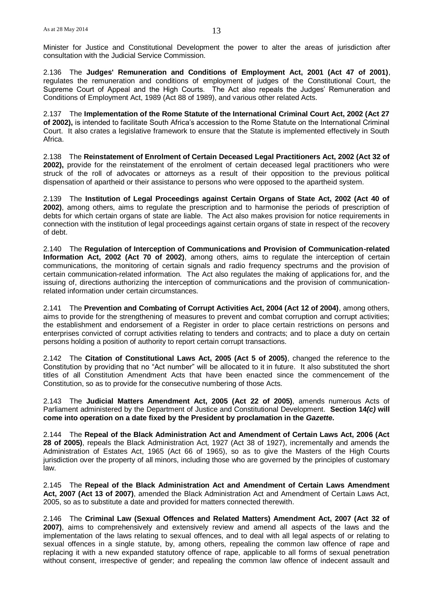Minister for Justice and Constitutional Development the power to alter the areas of jurisdiction after consultation with the Judicial Service Commission.

2.136 The **Judges' Remuneration and Conditions of Employment Act, 2001 (Act 47 of 2001)**, regulates the remuneration and conditions of employment of judges of the Constitutional Court, the Supreme Court of Appeal and the High Courts. The Act also repeals the Judges' Remuneration and Conditions of Employment Act, 1989 (Act 88 of 1989), and various other related Acts.

2.137 The **Implementation of the Rome Statute of the International Criminal Court Act, 2002 (Act 27 of 2002),** is intended to facilitate South Africa's accession to the Rome Statute on the International Criminal Court. It also crates a legislative framework to ensure that the Statute is implemented effectively in South Africa.

2.138 The **Reinstatement of Enrolment of Certain Deceased Legal Practitioners Act, 2002 (Act 32 of 2002),** provide for the reinstatement of the enrolment of certain deceased legal practitioners who were struck of the roll of advocates or attorneys as a result of their opposition to the previous political dispensation of apartheid or their assistance to persons who were opposed to the apartheid system.

2.139 The **Institution of Legal Proceedings against Certain Organs of State Act, 2002 (Act 40 of 2002)**, among others, aims to regulate the prescription and to harmonise the periods of prescription of debts for which certain organs of state are liable. The Act also makes provision for notice requirements in connection with the institution of legal proceedings against certain organs of state in respect of the recovery of debt.

2.140 The **Regulation of Interception of Communications and Provision of Communication-related Information Act, 2002 (Act 70 of 2002)**, among others, aims to regulate the interception of certain communications, the monitoring of certain signals and radio frequency spectrums and the provision of certain communication-related information. The Act also regulates the making of applications for, and the issuing of, directions authorizing the interception of communications and the provision of communicationrelated information under certain circumstances.

2.141 The **Prevention and Combating of Corrupt Activities Act, 2004 (Act 12 of 2004)**, among others, aims to provide for the strengthening of measures to prevent and combat corruption and corrupt activities; the establishment and endorsement of a Register in order to place certain restrictions on persons and enterprises convicted of corrupt activities relating to tenders and contracts; and to place a duty on certain persons holding a position of authority to report certain corrupt transactions.

2.142 The **Citation of Constitutional Laws Act, 2005 (Act 5 of 2005)**, changed the reference to the Constitution by providing that no "Act number" will be allocated to it in future. It also substituted the short titles of all Constitution Amendment Acts that have been enacted since the commencement of the Constitution, so as to provide for the consecutive numbering of those Acts.

2.143 The **Judicial Matters Amendment Act, 2005 (Act 22 of 2005)**, amends numerous Acts of Parliament administered by the Department of Justice and Constitutional Development. **Section 14***(c)* **will come into operation on a date fixed by the President by proclamation in the** *Gazette***.**

2.144 The **Repeal of the Black Administration Act and Amendment of Certain Laws Act, 2006 (Act 28 of 2005)**, repeals the Black Administration Act, 1927 (Act 38 of 1927), incrementally and amends the Administration of Estates Act, 1965 (Act 66 of 1965), so as to give the Masters of the High Courts jurisdiction over the property of all minors, including those who are governed by the principles of customary law.

2.145 The **Repeal of the Black Administration Act and Amendment of Certain Laws Amendment Act, 2007 (Act 13 of 2007)**, amended the Black Administration Act and Amendment of Certain Laws Act, 2005, so as to substitute a date and provided for matters connected therewith.

2.146 The **Criminal Law (Sexual Offences and Related Matters) Amendment Act, 2007 (Act 32 of 2007)**, aims to comprehensively and extensively review and amend all aspects of the laws and the implementation of the laws relating to sexual offences, and to deal with all legal aspects of or relating to sexual offences in a single statute, by, among others, repealing the common law offence of rape and replacing it with a new expanded statutory offence of rape, applicable to all forms of sexual penetration without consent, irrespective of gender; and repealing the common law offence of indecent assault and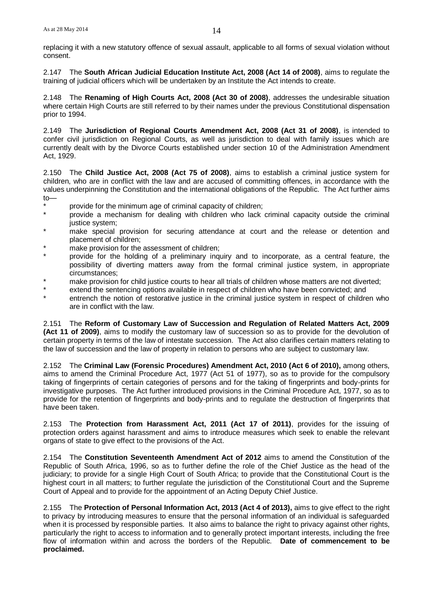replacing it with a new statutory offence of sexual assault, applicable to all forms of sexual violation without consent.

2.147 The **South African Judicial Education Institute Act, 2008 (Act 14 of 2008)**, aims to regulate the training of judicial officers which will be undertaken by an Institute the Act intends to create.

2.148 The **Renaming of High Courts Act, 2008 (Act 30 of 2008)**, addresses the undesirable situation where certain High Courts are still referred to by their names under the previous Constitutional dispensation prior to 1994.

2.149 The **Jurisdiction of Regional Courts Amendment Act, 2008 (Act 31 of 2008)**, is intended to confer civil jurisdiction on Regional Courts, as well as jurisdiction to deal with family issues which are currently dealt with by the Divorce Courts established under section 10 of the Administration Amendment Act, 1929.

2.150 The **Child Justice Act, 2008 (Act 75 of 2008)**, aims to establish a criminal justice system for children, who are in conflict with the law and are accused of committing offences, in accordance with the values underpinning the Constitution and the international obligations of the Republic. The Act further aims to—

- \* provide for the minimum age of criminal capacity of children;<br>\* provide a machanism for dagling with abildren who look
- provide a mechanism for dealing with children who lack criminal capacity outside the criminal justice system;
- \* make special provision for securing attendance at court and the release or detention and placement of children;
- make provision for the assessment of children;
- provide for the holding of a preliminary inquiry and to incorporate, as a central feature, the possibility of diverting matters away from the formal criminal justice system, in appropriate circumstances;
- make provision for child justice courts to hear all trials of children whose matters are not diverted;
- extend the sentencing options available in respect of children who have been convicted; and
- entrench the notion of restorative justice in the criminal justice system in respect of children who are in conflict with the law.

2.151 The **Reform of Customary Law of Succession and Regulation of Related Matters Act, 2009 (Act 11 of 2009)**, aims to modify the customary law of succession so as to provide for the devolution of certain property in terms of the law of intestate succession. The Act also clarifies certain matters relating to the law of succession and the law of property in relation to persons who are subject to customary law.

2.152 The **Criminal Law (Forensic Procedures) Amendment Act, 2010 (Act 6 of 2010),** among others, aims to amend the Criminal Procedure Act, 1977 (Act 51 of 1977), so as to provide for the compulsory taking of fingerprints of certain categories of persons and for the taking of fingerprints and body-prints for investigative purposes. The Act further introduced provisions in the Criminal Procedure Act, 1977, so as to provide for the retention of fingerprints and body-prints and to regulate the destruction of fingerprints that have been taken.

2.153 The **Protection from Harassment Act, 2011 (Act 17 of 2011)**, provides for the issuing of protection orders against harassment and aims to introduce measures which seek to enable the relevant organs of state to give effect to the provisions of the Act.

2.154 The **Constitution Seventeenth Amendment Act of 2012** aims to amend the Constitution of the Republic of South Africa, 1996, so as to further define the role of the Chief Justice as the head of the judiciary; to provide for a single High Court of South Africa; to provide that the Constitutional Court is the highest court in all matters; to further regulate the jurisdiction of the Constitutional Court and the Supreme Court of Appeal and to provide for the appointment of an Acting Deputy Chief Justice.

2.155 The **Protection of Personal Information Act, 2013 (Act 4 of 2013),** aims to give effect to the right to privacy by introducing measures to ensure that the personal information of an individual is safeguarded when it is processed by responsible parties. It also aims to balance the right to privacy against other rights, particularly the right to access to information and to generally protect important interests, including the free flow of information within and across the borders of the Republic. **Date of commencement to be proclaimed.**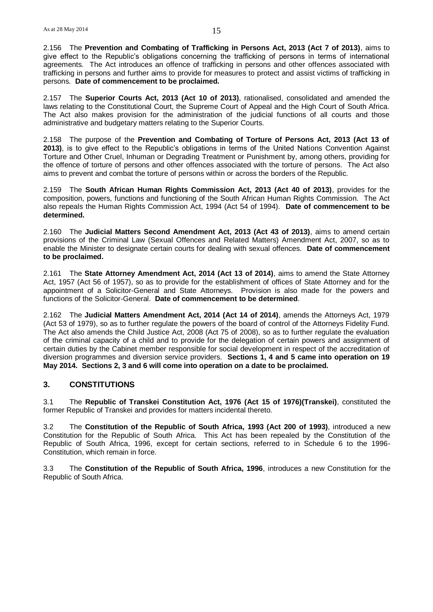2.156 The **Prevention and Combating of Trafficking in Persons Act, 2013 (Act 7 of 2013)**, aims to give effect to the Republic's obligations concerning the trafficking of persons in terms of international agreements. The Act introduces an offence of trafficking in persons and other offences associated with trafficking in persons and further aims to provide for measures to protect and assist victims of trafficking in persons. **Date of commencement to be proclaimed.**

2.157 The **Superior Courts Act, 2013 (Act 10 of 2013)**, rationalised, consolidated and amended the laws relating to the Constitutional Court, the Supreme Court of Appeal and the High Court of South Africa. The Act also makes provision for the administration of the judicial functions of all courts and those administrative and budgetary matters relating to the Superior Courts.

2.158 The purpose of the **Prevention and Combating of Torture of Persons Act, 2013 (Act 13 of 2013)**, is to give effect to the Republic's obligations in terms of the United Nations Convention Against Torture and Other Cruel, Inhuman or Degrading Treatment or Punishment by, among others, providing for the offence of torture of persons and other offences associated with the torture of persons. The Act also aims to prevent and combat the torture of persons within or across the borders of the Republic.

2.159 The **South African Human Rights Commission Act, 2013 (Act 40 of 2013)**, provides for the composition, powers, functions and functioning of the South African Human Rights Commission. The Act also repeals the Human Rights Commission Act, 1994 (Act 54 of 1994). **Date of commencement to be determined.**

2.160 The **Judicial Matters Second Amendment Act, 2013 (Act 43 of 2013)**, aims to amend certain provisions of the Criminal Law (Sexual Offences and Related Matters) Amendment Act, 2007, so as to enable the Minister to designate certain courts for dealing with sexual offences. **Date of commencement to be proclaimed.**

2.161 The **State Attorney Amendment Act, 2014 (Act 13 of 2014)**, aims to amend the State Attorney Act, 1957 (Act 56 of 1957), so as to provide for the establishment of offices of State Attorney and for the appointment of a Solicitor-General and State Attorneys. Provision is also made for the powers and functions of the Solicitor-General. **Date of commencement to be determined**.

2.162 The **Judicial Matters Amendment Act, 2014 (Act 14 of 2014)**, amends the Attorneys Act, 1979 (Act 53 of 1979), so as to further regulate the powers of the board of control of the Attorneys Fidelity Fund. The Act also amends the Child Justice Act, 2008 (Act 75 of 2008), so as to further regulate the evaluation of the criminal capacity of a child and to provide for the delegation of certain powers and assignment of certain duties by the Cabinet member responsible for social development in respect of the accreditation of diversion programmes and diversion service providers. **Sections 1, 4 and 5 came into operation on 19 May 2014. Sections 2, 3 and 6 will come into operation on a date to be proclaimed.**

## **3. CONSTITUTIONS**

3.1 The **Republic of Transkei Constitution Act, 1976 (Act 15 of 1976)(Transkei)**, constituted the former Republic of Transkei and provides for matters incidental thereto.

3.2 The **Constitution of the Republic of South Africa, 1993 (Act 200 of 1993)**, introduced a new Constitution for the Republic of South Africa. This Act has been repealed by the Constitution of the Republic of South Africa, 1996, except for certain sections, referred to in Schedule 6 to the 1996- Constitution, which remain in force.

3.3 The **Constitution of the Republic of South Africa, 1996**, introduces a new Constitution for the Republic of South Africa.